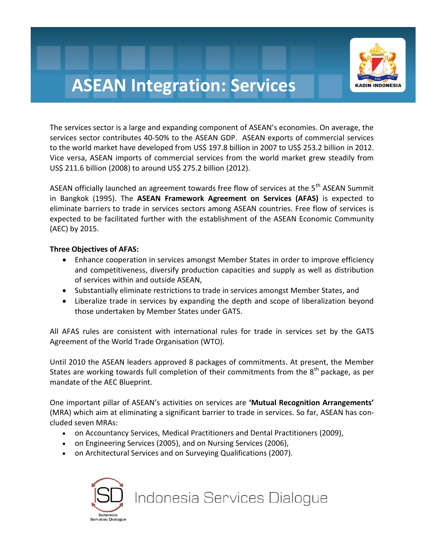

## **ASEAN Integration: Services**

The services sector is a large and expanding component of ASEAN's economies. On average, the services sector contributes 40-50% to the ASEAN GDP. ASEAN exports of commercial services to the world market have developed from US\$ 197.8 billion in 2007 to US\$ 253.2 billion in 2012. Vice versa, ASEAN imports of commercial services from the world market grew steadily from US\$ 211.6 billion (2008) to around US\$ 275.2 billion (2012).

ASEAN officially launched an agreement towards free flow of services at the 5<sup>th</sup> ASEAN Summit in Bangkok (1995). The **ASEAN Framework Agreement on Services (AFAS)** is expected to eliminate barriers to trade in services sectors among ASEAN countries. Free flow of services is expected to be facilitated further with the establishment of the ASEAN Economic Community (AEC) by 2015.

#### **Three Objectives of AFAS:**

- Enhance cooperation in services amongst Member States in order to improve efficiency and competitiveness, diversify production capacities and supply as well as distribution of services within and outside ASEAN,
- Substantially eliminate restrictions to trade in services amongst Member States, and
- Liberalize trade in services by expanding the depth and scope of liberalization beyond those undertaken by Member States under GATS.

All AFAS rules are consistent with international rules for trade in services set by the GATS Agreement of the World Trade Organisation (WTO).

Until 2010 the ASEAN leaders approved 8 packages of commitments. At present, the Member States are working towards full completion of their commitments from the  $8<sup>th</sup>$  package, as per mandate of the AEC Blueprint.

One important pillar of ASEAN's activities on services are **'Mutual Recognition Arrangements'** (MRA) which aim at eliminating a significant barrier to trade in services. So far, ASEAN has concluded seven MRAs:

- on Accountancy Services, [Medical Practitioners and Dental Practitioners \(2009\)](http://www.asean.org/news/item/asean-mutual-recognition-arrangement-on-medical-practitioners-2),
- [on Engineering Services \(2005\)](http://www.asean.org/news/item/asean-mutual-recognition-arrangement-on-engineering-services-kuala-lumpur-9-december-2005-2), and [on Nursing Services \(2006\)](http://www.asean.org/news/item/asean-mutual-recognition-arrangement-on-nursing-services),
- [on Architectural Services and on Surveying Qualifications \(2007\)](http://www.asean.org/images/archive/21137.pdf).



## Indonesia Services Dialogue